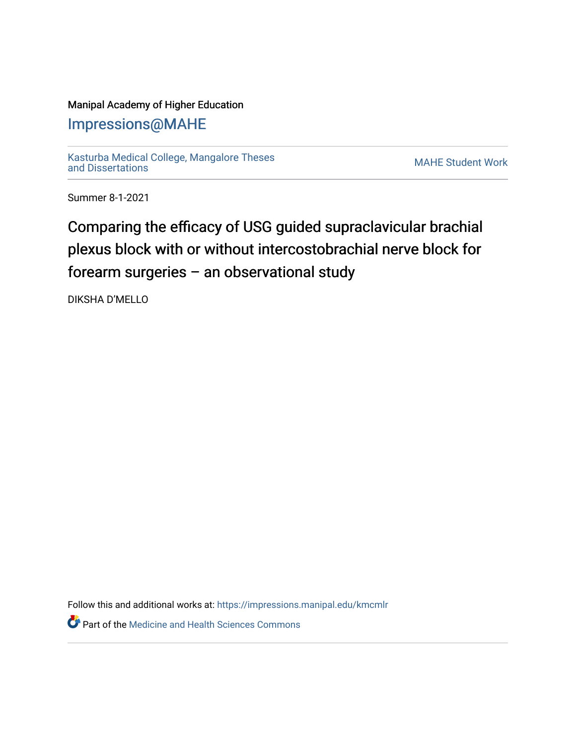# Manipal Academy of Higher Education

# [Impressions@MAHE](https://impressions.manipal.edu/)

[Kasturba Medical College, Mangalore Theses](https://impressions.manipal.edu/kmcmlr) [and Dissertations](https://impressions.manipal.edu/kmcmlr) [MAHE Student Work](https://impressions.manipal.edu/student-work) 

Summer 8-1-2021

# Comparing the efficacy of USG guided supraclavicular brachial plexus block with or without intercostobrachial nerve block for forearm surgeries – an observational study

DIKSHA D'MELLO

Follow this and additional works at: [https://impressions.manipal.edu/kmcmlr](https://impressions.manipal.edu/kmcmlr?utm_source=impressions.manipal.edu%2Fkmcmlr%2F250&utm_medium=PDF&utm_campaign=PDFCoverPages) 

**P** Part of the Medicine and Health Sciences Commons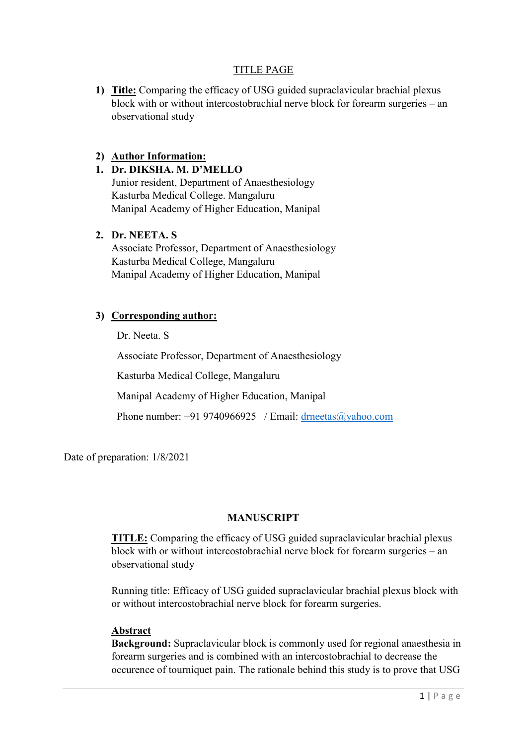# TITLE PAGE

1) Title: Comparing the efficacy of USG guided supraclavicular brachial plexus block with or without intercostobrachial nerve block for forearm surgeries – an observational study

# 2) Author Information:

# 1. Dr. DIKSHA. M. D'MELLO

Junior resident, Department of Anaesthesiology Kasturba Medical College. Mangaluru Manipal Academy of Higher Education, Manipal

#### 2. Dr. NEETA. S

Associate Professor, Department of Anaesthesiology Kasturba Medical College, Mangaluru Manipal Academy of Higher Education, Manipal

# 3) Corresponding author:

Dr. Neeta. S

Associate Professor, Department of Anaesthesiology

Kasturba Medical College, Mangaluru

Manipal Academy of Higher Education, Manipal

Phone number: +91 9740966925 / Email: drneetas@yahoo.com

Date of preparation: 1/8/2021

# MANUSCRIPT

TITLE: Comparing the efficacy of USG guided supraclavicular brachial plexus block with or without intercostobrachial nerve block for forearm surgeries – an observational study

Running title: Efficacy of USG guided supraclavicular brachial plexus block with or without intercostobrachial nerve block for forearm surgeries.

# Abstract

Background: Supraclavicular block is commonly used for regional anaesthesia in forearm surgeries and is combined with an intercostobrachial to decrease the occurence of tourniquet pain. The rationale behind this study is to prove that USG